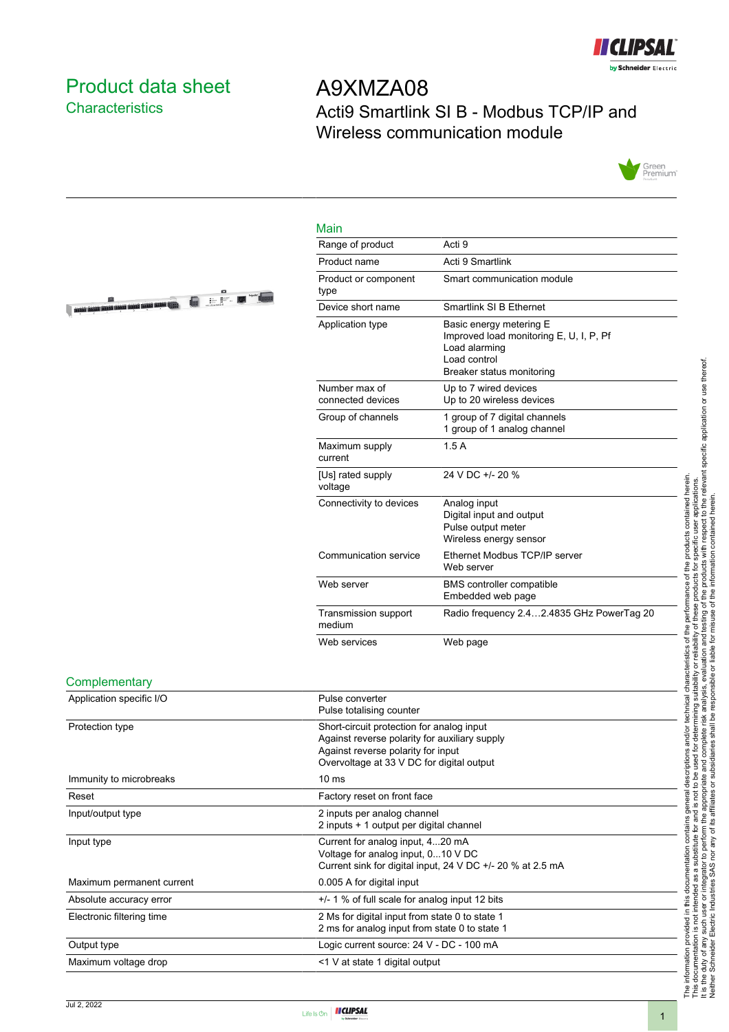

# <span id="page-0-0"></span>Product data sheet **Characteristics**

**OF THE OWNER WE ARE A STATE** 

# A9XMZA08 Acti9 Smartlink SI B - Modbus TCP/IP and Wireless communication module



### Main

| Range of product                   | Acti 9                                                                                                                           |
|------------------------------------|----------------------------------------------------------------------------------------------------------------------------------|
| Product name                       | Acti 9 Smartlink                                                                                                                 |
| Product or component<br>type       | Smart communication module                                                                                                       |
| Device short name                  | Smartlink SI B Ethernet                                                                                                          |
| Application type                   | Basic energy metering E<br>Improved load monitoring E, U, I, P, Pf<br>Load alarming<br>Load control<br>Breaker status monitoring |
| Number max of<br>connected devices | Up to 7 wired devices<br>Up to 20 wireless devices                                                                               |
| Group of channels                  | 1 group of 7 digital channels<br>1 group of 1 analog channel                                                                     |
| Maximum supply<br>current          | 1.5A                                                                                                                             |
| [Us] rated supply<br>voltage       | 24 V DC +/- 20 %                                                                                                                 |
| Connectivity to devices            | Analog input<br>Digital input and output<br>Pulse output meter<br>Wireless energy sensor                                         |
| Communication service              | Ethernet Modbus TCP/IP server<br>Web server                                                                                      |
| Web server                         | <b>BMS</b> controller compatible<br>Embedded web page                                                                            |
| Transmission support<br>medium     | Radio frequency 2.42.4835 GHz PowerTag 20                                                                                        |
| Web services                       | Web page                                                                                                                         |

#### **Complementary**

| Application specific I/O  | Pulse converter<br>Pulse totalising counter                                                                                                                                   |
|---------------------------|-------------------------------------------------------------------------------------------------------------------------------------------------------------------------------|
| Protection type           | Short-circuit protection for analog input<br>Against reverse polarity for auxiliary supply<br>Against reverse polarity for input<br>Overvoltage at 33 V DC for digital output |
| Immunity to microbreaks   | 10 <sub>ms</sub>                                                                                                                                                              |
| Reset                     | Factory reset on front face                                                                                                                                                   |
| Input/output type         | 2 inputs per analog channel<br>2 inputs + 1 output per digital channel                                                                                                        |
| Input type                | Current for analog input, 420 mA<br>Voltage for analog input, 010 V DC<br>Current sink for digital input, 24 V DC +/- 20 % at 2.5 mA                                          |
| Maximum permanent current | 0.005 A for digital input                                                                                                                                                     |
| Absolute accuracy error   | $+/-$ 1 % of full scale for analog input 12 bits                                                                                                                              |
| Electronic filtering time | 2 Ms for digital input from state 0 to state 1<br>2 ms for analog input from state 0 to state 1                                                                               |
| Output type               | Logic current source: 24 V - DC - 100 mA                                                                                                                                      |
| Maximum voltage drop      | <1 V at state 1 digital output                                                                                                                                                |

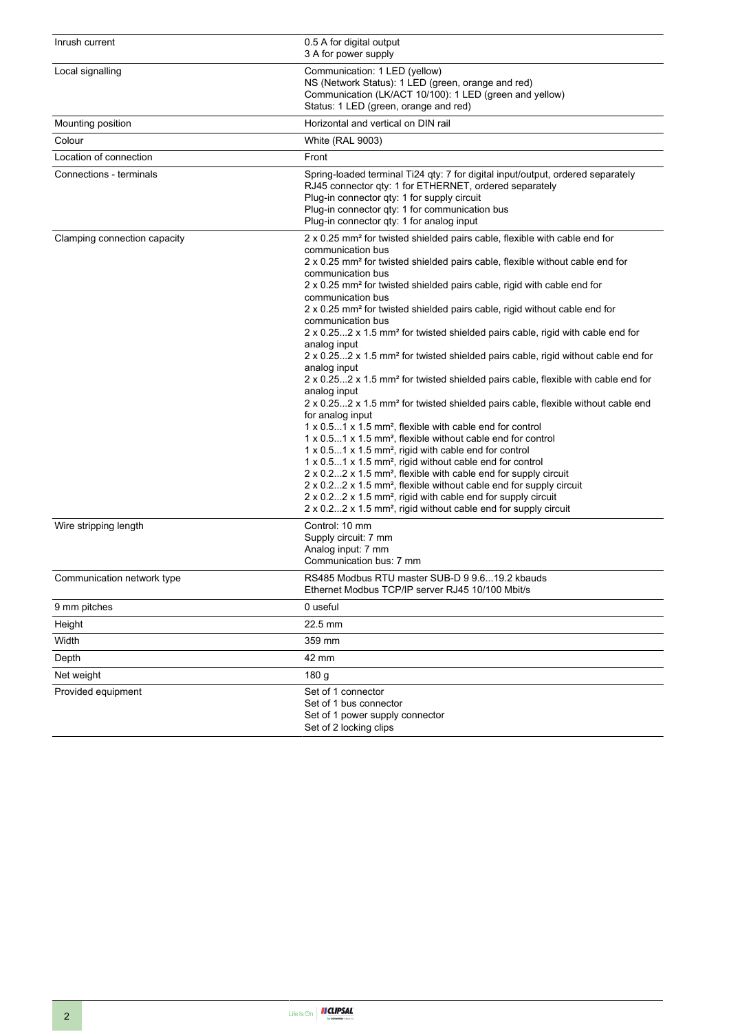| Inrush current               | 0.5 A for digital output<br>3 A for power supply                                                                                                                                                                                                                                                                                                                                                                                                                                                                                                                                                                                                                                                                                                                                                                                                                                                                                                                                                                                                                                                                                                                                                                                                                                                                                                                                                                                                                                                                                                                                             |
|------------------------------|----------------------------------------------------------------------------------------------------------------------------------------------------------------------------------------------------------------------------------------------------------------------------------------------------------------------------------------------------------------------------------------------------------------------------------------------------------------------------------------------------------------------------------------------------------------------------------------------------------------------------------------------------------------------------------------------------------------------------------------------------------------------------------------------------------------------------------------------------------------------------------------------------------------------------------------------------------------------------------------------------------------------------------------------------------------------------------------------------------------------------------------------------------------------------------------------------------------------------------------------------------------------------------------------------------------------------------------------------------------------------------------------------------------------------------------------------------------------------------------------------------------------------------------------------------------------------------------------|
| Local signalling             | Communication: 1 LED (yellow)<br>NS (Network Status): 1 LED (green, orange and red)<br>Communication (LK/ACT 10/100): 1 LED (green and yellow)<br>Status: 1 LED (green, orange and red)                                                                                                                                                                                                                                                                                                                                                                                                                                                                                                                                                                                                                                                                                                                                                                                                                                                                                                                                                                                                                                                                                                                                                                                                                                                                                                                                                                                                      |
| Mounting position            | Horizontal and vertical on DIN rail                                                                                                                                                                                                                                                                                                                                                                                                                                                                                                                                                                                                                                                                                                                                                                                                                                                                                                                                                                                                                                                                                                                                                                                                                                                                                                                                                                                                                                                                                                                                                          |
| Colour                       | <b>White (RAL 9003)</b>                                                                                                                                                                                                                                                                                                                                                                                                                                                                                                                                                                                                                                                                                                                                                                                                                                                                                                                                                                                                                                                                                                                                                                                                                                                                                                                                                                                                                                                                                                                                                                      |
| Location of connection       | Front                                                                                                                                                                                                                                                                                                                                                                                                                                                                                                                                                                                                                                                                                                                                                                                                                                                                                                                                                                                                                                                                                                                                                                                                                                                                                                                                                                                                                                                                                                                                                                                        |
| Connections - terminals      | Spring-loaded terminal Ti24 qty: 7 for digital input/output, ordered separately<br>RJ45 connector qty: 1 for ETHERNET, ordered separately<br>Plug-in connector qty: 1 for supply circuit<br>Plug-in connector qty: 1 for communication bus<br>Plug-in connector qty: 1 for analog input                                                                                                                                                                                                                                                                                                                                                                                                                                                                                                                                                                                                                                                                                                                                                                                                                                                                                                                                                                                                                                                                                                                                                                                                                                                                                                      |
| Clamping connection capacity | 2 x 0.25 mm <sup>2</sup> for twisted shielded pairs cable, flexible with cable end for<br>communication bus<br>2 x 0.25 mm <sup>2</sup> for twisted shielded pairs cable, flexible without cable end for<br>communication bus<br>2 x 0.25 mm <sup>2</sup> for twisted shielded pairs cable, rigid with cable end for<br>communication bus<br>2 x 0.25 mm <sup>2</sup> for twisted shielded pairs cable, rigid without cable end for<br>communication bus<br>2 x 0.252 x 1.5 mm <sup>2</sup> for twisted shielded pairs cable, rigid with cable end for<br>analog input<br>2 x 0.252 x 1.5 mm <sup>2</sup> for twisted shielded pairs cable, rigid without cable end for<br>analog input<br>2 x 0.252 x 1.5 mm <sup>2</sup> for twisted shielded pairs cable, flexible with cable end for<br>analog input<br>2 x 0.252 x 1.5 mm <sup>2</sup> for twisted shielded pairs cable, flexible without cable end<br>for analog input<br>1 x 0.51 x 1.5 mm <sup>2</sup> , flexible with cable end for control<br>1 x 0.51 x 1.5 mm <sup>2</sup> , flexible without cable end for control<br>1 x 0.51 x 1.5 mm <sup>2</sup> , rigid with cable end for control<br>$1 \times 0.51 \times 1.5$ mm <sup>2</sup> , rigid without cable end for control<br>$2 \times 0.22 \times 1.5$ mm <sup>2</sup> , flexible with cable end for supply circuit<br>2 x 0.22 x 1.5 mm <sup>2</sup> , flexible without cable end for supply circuit<br>$2 \times 0.22 \times 1.5$ mm <sup>2</sup> , rigid with cable end for supply circuit<br>2 x 0.22 x 1.5 mm <sup>2</sup> , rigid without cable end for supply circuit |
| Wire stripping length        | Control: 10 mm<br>Supply circuit: 7 mm<br>Analog input: 7 mm<br>Communication bus: 7 mm                                                                                                                                                                                                                                                                                                                                                                                                                                                                                                                                                                                                                                                                                                                                                                                                                                                                                                                                                                                                                                                                                                                                                                                                                                                                                                                                                                                                                                                                                                      |
| Communication network type   | RS485 Modbus RTU master SUB-D 9 9.619.2 kbauds<br>Ethernet Modbus TCP/IP server RJ45 10/100 Mbit/s                                                                                                                                                                                                                                                                                                                                                                                                                                                                                                                                                                                                                                                                                                                                                                                                                                                                                                                                                                                                                                                                                                                                                                                                                                                                                                                                                                                                                                                                                           |
| 9 mm pitches                 | 0 useful                                                                                                                                                                                                                                                                                                                                                                                                                                                                                                                                                                                                                                                                                                                                                                                                                                                                                                                                                                                                                                                                                                                                                                                                                                                                                                                                                                                                                                                                                                                                                                                     |
| Height                       | 22.5 mm                                                                                                                                                                                                                                                                                                                                                                                                                                                                                                                                                                                                                                                                                                                                                                                                                                                                                                                                                                                                                                                                                                                                                                                                                                                                                                                                                                                                                                                                                                                                                                                      |
| Width                        | 359 mm                                                                                                                                                                                                                                                                                                                                                                                                                                                                                                                                                                                                                                                                                                                                                                                                                                                                                                                                                                                                                                                                                                                                                                                                                                                                                                                                                                                                                                                                                                                                                                                       |
| Depth                        | 42 mm                                                                                                                                                                                                                                                                                                                                                                                                                                                                                                                                                                                                                                                                                                                                                                                                                                                                                                                                                                                                                                                                                                                                                                                                                                                                                                                                                                                                                                                                                                                                                                                        |
| Net weight                   | 180 <sub>g</sub>                                                                                                                                                                                                                                                                                                                                                                                                                                                                                                                                                                                                                                                                                                                                                                                                                                                                                                                                                                                                                                                                                                                                                                                                                                                                                                                                                                                                                                                                                                                                                                             |
| Provided equipment           | Set of 1 connector<br>Set of 1 bus connector<br>Set of 1 power supply connector<br>Set of 2 locking clips                                                                                                                                                                                                                                                                                                                                                                                                                                                                                                                                                                                                                                                                                                                                                                                                                                                                                                                                                                                                                                                                                                                                                                                                                                                                                                                                                                                                                                                                                    |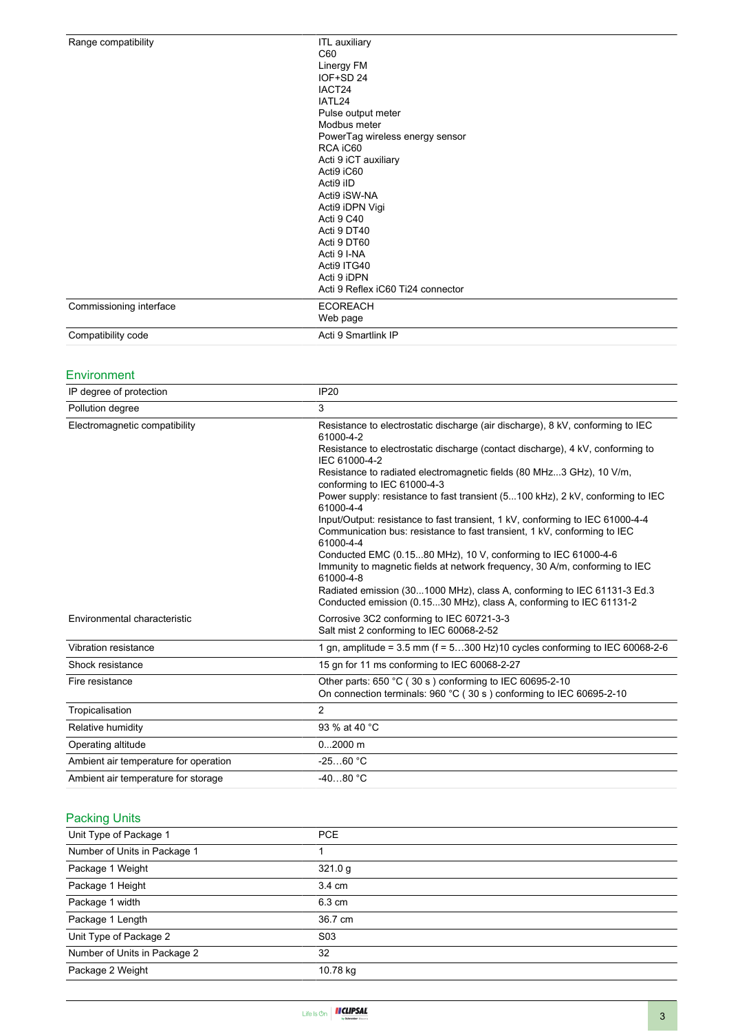| Range compatibility     | <b>ITL</b> auxiliary              |  |
|-------------------------|-----------------------------------|--|
|                         | C60                               |  |
|                         | Linergy FM                        |  |
|                         | IOF+SD 24                         |  |
|                         | IACT24                            |  |
|                         | IATL24                            |  |
|                         | Pulse output meter                |  |
|                         | Modbus meter                      |  |
|                         | PowerTag wireless energy sensor   |  |
|                         | RCA iC60                          |  |
|                         | Acti 9 iCT auxiliary              |  |
|                         | Acti9 iC60                        |  |
|                         | Acti9 iID                         |  |
|                         | Acti9 iSW-NA                      |  |
|                         | Acti9 iDPN Vigi                   |  |
|                         | Acti 9 C40                        |  |
|                         | Acti 9 DT40                       |  |
|                         | Acti 9 DT60                       |  |
|                         | Acti 9 I-NA                       |  |
|                         | Acti9 ITG40                       |  |
|                         | Acti 9 iDPN                       |  |
|                         | Acti 9 Reflex iC60 Ti24 connector |  |
| Commissioning interface | <b>ECOREACH</b>                   |  |
|                         | Web page                          |  |
| Compatibility code      | Acti 9 Smartlink IP               |  |

## Environment

| IP degree of protection               | <b>IP20</b>                                                                                                                                                            |
|---------------------------------------|------------------------------------------------------------------------------------------------------------------------------------------------------------------------|
| Pollution degree                      | 3                                                                                                                                                                      |
| Electromagnetic compatibility         | Resistance to electrostatic discharge (air discharge), 8 kV, conforming to IEC<br>61000-4-2                                                                            |
|                                       | Resistance to electrostatic discharge (contact discharge), 4 kV, conforming to<br>IEC 61000-4-2                                                                        |
|                                       | Resistance to radiated electromagnetic fields (80 MHz3 GHz), 10 V/m,<br>conforming to IEC 61000-4-3                                                                    |
|                                       | Power supply: resistance to fast transient (5100 kHz), 2 kV, conforming to IEC<br>61000-4-4                                                                            |
|                                       | Input/Output: resistance to fast transient, 1 kV, conforming to IEC 61000-4-4<br>Communication bus: resistance to fast transient, 1 kV, conforming to IEC<br>61000-4-4 |
|                                       | Conducted EMC (0.1580 MHz), 10 V, conforming to IEC 61000-4-6<br>Immunity to magnetic fields at network frequency, 30 A/m, conforming to IEC<br>61000-4-8              |
|                                       | Radiated emission (301000 MHz), class A, conforming to IEC 61131-3 Ed.3<br>Conducted emission (0.1530 MHz), class A, conforming to IEC 61131-2                         |
| Environmental characteristic          | Corrosive 3C2 conforming to IEC 60721-3-3<br>Salt mist 2 conforming to IEC 60068-2-52                                                                                  |
| Vibration resistance                  | 1 gn, amplitude = $3.5$ mm (f = $5300$ Hz)10 cycles conforming to IEC 60068-2-6                                                                                        |
| Shock resistance                      | 15 gn for 11 ms conforming to IEC 60068-2-27                                                                                                                           |
| Fire resistance                       | Other parts: 650 °C (30 s) conforming to IEC 60695-2-10<br>On connection terminals: 960 °C (30 s) conforming to IEC 60695-2-10                                         |
| Tropicalisation                       | $\overline{2}$                                                                                                                                                         |
| Relative humidity                     | 93 % at 40 °C                                                                                                                                                          |
| Operating altitude                    | $02000$ m                                                                                                                                                              |
| Ambient air temperature for operation | $-2560 °C$                                                                                                                                                             |
| Ambient air temperature for storage   | $-4080 °C$                                                                                                                                                             |

## Packing Units

| Unit Type of Package 1       | <b>PCE</b>       |  |
|------------------------------|------------------|--|
| Number of Units in Package 1 |                  |  |
| Package 1 Weight             | 321.0 g          |  |
| Package 1 Height             | 3.4 cm           |  |
| Package 1 width              | 6.3 cm           |  |
| Package 1 Length             | 36.7 cm          |  |
| Unit Type of Package 2       | S <sub>0</sub> 3 |  |
| Number of Units in Package 2 | 32               |  |
| Package 2 Weight             | 10.78 kg         |  |